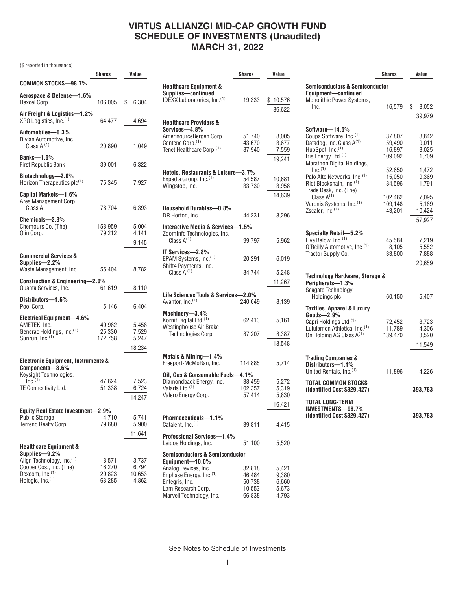## **VIRTUS ALLIANZGI MID-CAP GROWTH FUND SCHEDULE OF INVESTMENTS (Unaudited) MARCH 31, 2022**

(\$ reported in thousands)

|                                                                                                                           | Shares                              | Value                             |
|---------------------------------------------------------------------------------------------------------------------------|-------------------------------------|-----------------------------------|
| COMMON STOCKS-98.7%                                                                                                       |                                     |                                   |
| Aerospace & Defense-1.6%<br>Hexcel Corp.                                                                                  | 106,005                             | \$<br>6,304                       |
| Air Freight & Logistics-1.2%<br>XPO Logistics, Inc. <sup>(1)</sup>                                                        | 64,477                              | 4,694                             |
| Automobiles—0.3%<br>Rivian Automotive, Inc.<br>Class $A^{(1)}$                                                            | 20,890                              | 1,049                             |
| Banks- $-1.6\%$<br><b>First Republic Bank</b>                                                                             | 39,001                              | 6,322                             |
| Biotechnology-2.0%<br>Horizon Therapeutics plc <sup>(1)</sup>                                                             | 75,345                              | 7,927                             |
| Capital Markets-1.6%<br>Ares Management Corp.<br>Class A                                                                  | 78,704                              | 6,393                             |
| Chemicals-2.3%<br>Chemours Co. (The)<br>Olin Corp.                                                                        | 158.959<br>79,212                   | 5,004<br>4,141<br>9,145           |
| <b>Commercial Services &amp;</b><br>Supplies-2.2%                                                                         |                                     |                                   |
| Waste Management, Inc.                                                                                                    | 55,404                              | 8,782                             |
| <b>Construction &amp; Engineering-2.0%</b><br>Quanta Services, Inc.                                                       | 61,619                              | 8,110                             |
| Distributors-1.6%<br>Pool Corp.                                                                                           | 15,146                              | 6,404                             |
| Electrical Equipment-4.6%<br>AMETEK, Inc.<br>Generac Holdings, Inc. <sup>(1)</sup><br>Sunrun, Inc. <sup>(1)</sup>         | 40,982<br>25,330<br>172,758         | 5,458<br>7,529<br>5,247<br>18,234 |
| <b>Electronic Equipment, Instruments &amp;</b>                                                                            |                                     |                                   |
| Components-3.6%<br>Keysight Technologies,<br>$Inc^{(1)}$                                                                  | 47,624                              | 7,523                             |
| TE Connectivity Ltd.                                                                                                      | 51,338                              | 6,724<br>14,247                   |
| <b>Equity Real Estate Investment</b>                                                                                      | 2.9%                                |                                   |
| <b>Public Storage</b><br>Terreno Realty Corp.                                                                             | 14,710<br>79,680                    | 5,741<br>5,900<br>11,641          |
| <b>Healthcare Equipment &amp;</b>                                                                                         |                                     |                                   |
| Supplies-9.2%<br>Align Technology, Inc. (1)<br>Cooper Cos., Inc. (The)<br>Dexcom, Inc.(1)<br>Hologic, Inc. <sup>(1)</sup> | 8,571<br>16,270<br>20,823<br>63,285 | 3,737<br>6,794<br>10,653<br>4,862 |

|                                                                                | <b>Shares</b>     | Value           |
|--------------------------------------------------------------------------------|-------------------|-----------------|
| <b>Healthcare Equipment &amp;</b><br>Supplies-continued                        |                   |                 |
| IDEXX Laboratories, Inc. <sup>(1)</sup>                                        | 19,333            | \$10,576        |
|                                                                                |                   | 36,622          |
| <b>Healthcare Providers &amp;</b><br>Services-4.8%                             |                   |                 |
| AmerisourceBergen Corp.                                                        | 51,740            | 8,005           |
| Centene Corp. <sup>(1)</sup><br>Tenet Healthcare Corp. (1)                     | 43,670<br>87,940  | 3,677<br>7,559  |
|                                                                                |                   | 19,241          |
|                                                                                |                   |                 |
| Hotels, Restaurants & Leisure-                                                 | $-3.7\%$          |                 |
| Expedia Group, Inc. <sup>(1)</sup><br>Wingstop, Inc.                           | 54,587<br>33,730  | 10,681<br>3,958 |
|                                                                                |                   |                 |
|                                                                                |                   | 14,639          |
| Household Durables-0.8%                                                        |                   |                 |
| DR Horton, Inc.                                                                | 44,231            | 3,296           |
| Interactive Media & Services-1.5%<br>ZoomInfo Technologies, Inc.               |                   |                 |
| Class $A^{(1)}$                                                                | 99,797            | 5,962           |
| IT Services-2.8%<br>EPAM Systems, Inc. <sup>(1)</sup>                          | 20,291            | 6,019           |
| Shift4 Payments, Inc.<br>Class $\tilde{A}$ <sup>(1)</sup>                      | 84.744            | 5,248           |
|                                                                                |                   | 11,267          |
|                                                                                |                   |                 |
| Life Sciences Tools & Services-2.0%<br>Avantor, Inc. <sup>(1)</sup>            | 240,649           | 8,139           |
| Machinery-3.4%<br>Kornit Digital Ltd. <sup>(1)</sup><br>Westinghouse Air Brake | 62,413            | 5,161           |
| Technologies Corp.                                                             | 87,207            | 8,387           |
|                                                                                |                   | 13,548          |
|                                                                                |                   |                 |
| Metals & Mining—1.4%<br>Freeport-McMoRan, Inc.                                 | 114,885           | 5,714           |
| Oil, Gas & Consumable Fuels-4.1%<br>Diamondback Energy, Inc.                   |                   |                 |
| Valaris Ltd. <sup>(1)</sup>                                                    | 38,459<br>102,357 | 5,272<br>5,319  |
| Valero Energy Corp.                                                            | 57,414            | 5,830           |
|                                                                                |                   | 16,421          |
|                                                                                |                   |                 |
| Pharmaceuticals—1.1%<br>Catalent, Inc. <sup>(1)</sup>                          | 39,811            | 4,415           |
| <b>Professional Services-1.4%</b><br>Leidos Holdings, Inc.                     | 51,100            | 5,520           |
| <b>Semiconductors &amp; Semiconductor</b>                                      |                   |                 |
| Equipment-10.0%                                                                |                   |                 |
| Analog Devices, Inc.<br>Enphase Energy, Inc. <sup>(1)</sup>                    | 32,818<br>46,484  | 5,421<br>9,380  |
| Entegris, Inc.                                                                 | 50,738            | 6,660           |
| Lam Research Corp.                                                             | 10,553            | 5,673           |
| Marvell Technology, Inc.                                                       | 66,838            | 4,793           |

|                                                                | <b>Shares</b>      | Value          |  |  |  |
|----------------------------------------------------------------|--------------------|----------------|--|--|--|
| Semiconductors & Semiconductor<br>Equipment-continued          |                    |                |  |  |  |
| <b>Monolithic Power Systems,</b>                               |                    |                |  |  |  |
| Inc.                                                           | 16,579             | \$<br>8,052    |  |  |  |
|                                                                |                    | 39,979         |  |  |  |
| Software-14.5%                                                 |                    |                |  |  |  |
| Coupa Software, Inc.(1)                                        | 37,807             | 3,842          |  |  |  |
| Datadog, Inc. Class A <sup>(1)</sup>                           | 59,490             | 9,011          |  |  |  |
| HubSpot, Inc.(1)<br>Iris Energy Ltd. <sup>(1)</sup>            | 16,897             | 8.025          |  |  |  |
| Marathon Digital Holdings,                                     | 109.092            | 1.709          |  |  |  |
| $Inc.$ <sup>(1)</sup>                                          | 52,650             | 1,472          |  |  |  |
| Palo Alto Networks, Inc.(1)                                    | 15,050             | 9,369          |  |  |  |
| Riot Blockchain, Inc. <sup>(1)</sup>                           | 84,596             | 1,791          |  |  |  |
| Trade Desk, Inc. (The)<br>Class $A^{(1)}$                      |                    |                |  |  |  |
| Varonis Systems, Inc. <sup>(1)</sup>                           | 102,462<br>109,148 | 7,095<br>5,189 |  |  |  |
| Zscaler, Inc. <sup>(1)</sup>                                   | 43,201             | 10,424         |  |  |  |
|                                                                |                    | 57,927         |  |  |  |
|                                                                |                    |                |  |  |  |
| Specialty Retail—5.2%                                          |                    |                |  |  |  |
| Five Below, Inc. <sup>(1)</sup>                                | 45.584             | 7.219          |  |  |  |
| O'Reilly Automotive, Inc. <sup>(1)</sup><br>Tractor Supply Co. | 8,105<br>33,800    | 5,552<br>7,888 |  |  |  |
|                                                                |                    | 20,659         |  |  |  |
|                                                                |                    |                |  |  |  |
| Technology Hardware, Storage &                                 |                    |                |  |  |  |
| Peripherals—1.3%                                               |                    |                |  |  |  |
| Seagate Technology<br>Holdings plc                             | 60,150             | 5,407          |  |  |  |
|                                                                |                    |                |  |  |  |
| <b>Textiles, Apparel &amp; Luxury</b>                          |                    |                |  |  |  |
| Goods-2.9%<br>Capri Holdings Ltd. <sup>(1)</sup>               | 72,452             | 3,723          |  |  |  |
| Lululemon Athletica, Inc. <sup>(1)</sup>                       | 11,789             | 4,306          |  |  |  |
| On Holding AG Class A <sup>(1)</sup>                           | 139,470            | 3,520          |  |  |  |
|                                                                |                    | 11,549         |  |  |  |
|                                                                |                    |                |  |  |  |
| <b>Trading Companies &amp;</b>                                 |                    |                |  |  |  |
| Distributors-1.1%<br>United Rentals, Inc. <sup>(1)</sup>       | 11,896             | 4,226          |  |  |  |
|                                                                |                    |                |  |  |  |
| TOTAL COMMON STOCKS<br>(Identified Cost \$329,427)             |                    | 393,783        |  |  |  |
| TOTAL LONG-TERM                                                |                    |                |  |  |  |
| INVESTMENTS—98.7%<br>(Identified Cost \$329,427)               |                    | 393,783        |  |  |  |

See Notes to Schedule of Investments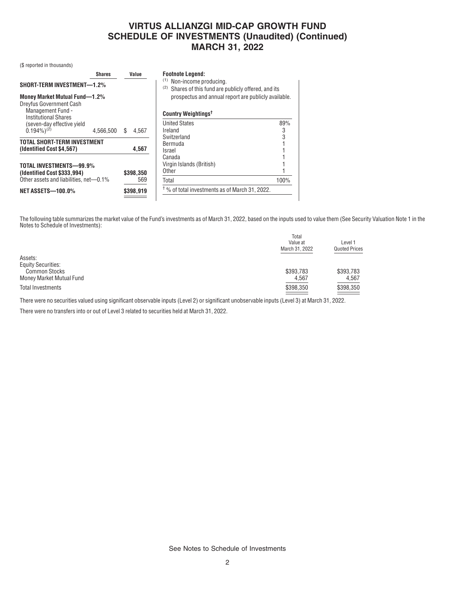# **VIRTUS ALLIANZGI MID-CAP GROWTH FUND SCHEDULE OF INVESTMENTS (Unaudited) (Continued) MARCH 31, 2022**

(\$ reported in thousands)

|                                                                             | <b>Shares</b> | Value       | <b>Footnote Legend:</b>                                                                                                                          |      |
|-----------------------------------------------------------------------------|---------------|-------------|--------------------------------------------------------------------------------------------------------------------------------------------------|------|
| SHORT-TERM INVESTMENT-1.2%<br>Money Market Mutual Fund-1.2%                 |               |             | (1)<br>Non-income producing.<br>(2)<br>Shares of this fund are publicly offered, and its<br>prospectus and annual report are publicly available. |      |
| Dreyfus Government Cash<br>Management Fund -<br><b>Institutional Shares</b> |               |             | Country Weightings <sup>t</sup>                                                                                                                  |      |
| (seven-day effective yield                                                  |               |             | <b>United States</b>                                                                                                                             | 89%  |
| $(0.194\%)^{(2)}$                                                           | 4.566.500     | 4.567<br>ß. | Ireland                                                                                                                                          | 3    |
| TOTAL SHORT-TERM INVESTMENT                                                 |               |             | Switzerland                                                                                                                                      | 3    |
|                                                                             |               |             | Bermuda                                                                                                                                          |      |
| (Identified Cost \$4,567)                                                   |               | 4,567       | Israel                                                                                                                                           |      |
|                                                                             |               |             | Canada                                                                                                                                           |      |
| TOTAL INVESTMENTS-99.9%                                                     |               |             | Virgin Islands (British)                                                                                                                         |      |
| (Identified Cost \$333,994)                                                 |               | \$398,350   | Other                                                                                                                                            |      |
| Other assets and liabilities, net-0.1%                                      |               | 569         | Total                                                                                                                                            | 100% |
| <b>NET ASSETS-100.0%</b>                                                    |               | \$398,919   | <sup>†</sup> % of total investments as of March 31, 2022.                                                                                        |      |

The following table summarizes the market value of the Fund's investments as of March 31, 2022, based on the inputs used to value them (See Security Valuation Note 1 in the Notes to Schedule of Investments):

|                           | Total<br>Value at<br>March 31, 2022 | Level 1<br><b>Quoted Prices</b> |
|---------------------------|-------------------------------------|---------------------------------|
| Assets:                   |                                     |                                 |
| <b>Equity Securities:</b> |                                     |                                 |
| <b>Common Stocks</b>      | \$393,783                           | \$393,783                       |
| Money Market Mutual Fund  | 4,567                               | 4,567                           |
| Total Investments         | \$398,350                           | \$398,350                       |

There were no securities valued using significant observable inputs (Level 2) or significant unobservable inputs (Level 3) at March 31, 2022.

There were no transfers into or out of Level 3 related to securities held at March 31, 2022.

See Notes to Schedule of Investments